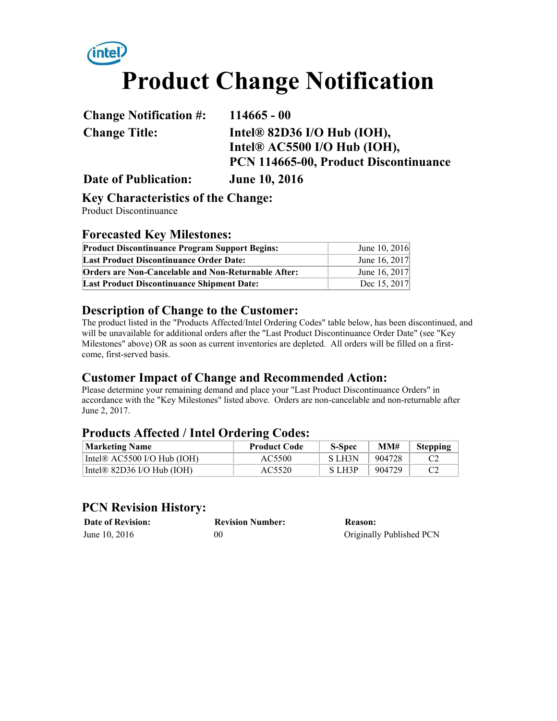# intel/ **Product Change Notification**

**Change Notification #: 114665 - 00 Change Title: Intel® 82D36 I/O Hub (IOH), Intel® AC5500 I/O Hub (IOH), PCN 114665-00, Product Discontinuance**

**Date of Publication: June 10, 2016**

#### **Key Characteristics of the Change:**

Product Discontinuance

### **Forecasted Key Milestones:**

| <b>Product Discontinuance Program Support Begins:</b> | June 10, 2016 |
|-------------------------------------------------------|---------------|
| <b>Last Product Discontinuance Order Date:</b>        | June 16, 2017 |
| Orders are Non-Cancelable and Non-Returnable After:   | June 16, 2017 |
| <b>Last Product Discontinuance Shipment Date:</b>     | Dec 15, 2017  |

### **Description of Change to the Customer:**

The product listed in the "Products Affected/Intel Ordering Codes" table below, has been discontinued, and will be unavailable for additional orders after the "Last Product Discontinuance Order Date" (see "Key Milestones" above) OR as soon as current inventories are depleted. All orders will be filled on a firstcome, first-served basis.

## **Customer Impact of Change and Recommended Action:**

Please determine your remaining demand and place your "Last Product Discontinuance Orders" in accordance with the "Key Milestones" listed above. Orders are non-cancelable and non-returnable after June 2, 2017.

## **Products Affected / Intel Ordering Codes:**

| <b>Marketing Name</b>                  | <b>Product Code</b> | <b>S-Spec</b> | MM#    | <b>Stepping</b> |
|----------------------------------------|---------------------|---------------|--------|-----------------|
| Intel $\mathbb R$ AC5500 I/O Hub (IOH) | AC5500              | S LH3N        | 904728 |                 |
| Intel <sup>®</sup> 82D36 I/O Hub (IOH) | AC5520              | S LH3P        | 904729 |                 |

## **PCN Revision History:**

| <b>Date of Revision:</b> | <b>Revision Number:</b> | Reason:                  |
|--------------------------|-------------------------|--------------------------|
| June 10, 2016            | 00                      | Originally Published PCN |